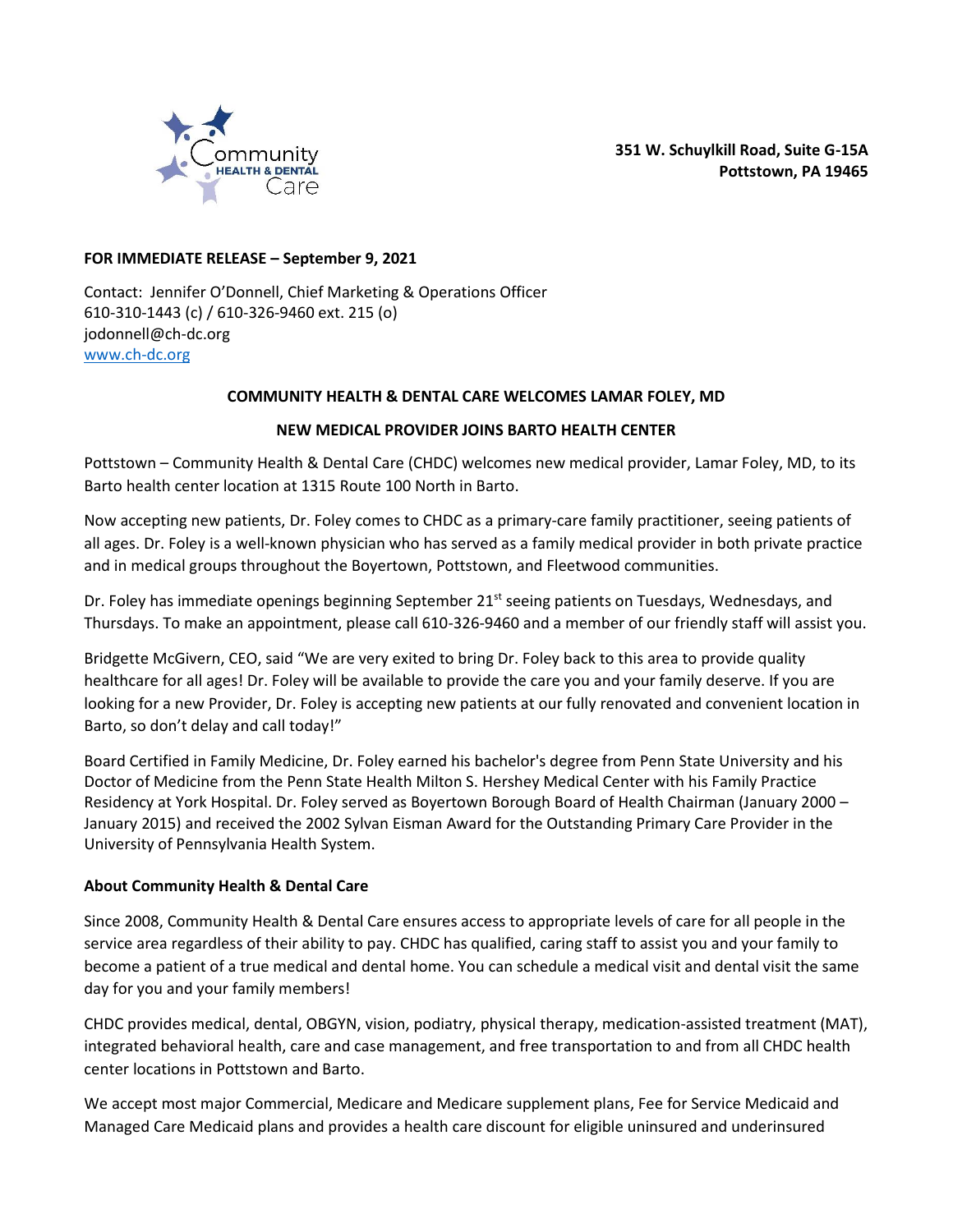

**351 W. Schuylkill Road, Suite G-15A Pottstown, PA 19465**

## **FOR IMMEDIATE RELEASE – September 9, 2021**

Contact: Jennifer O'Donnell, Chief Marketing & Operations Officer 610-310-1443 (c) / 610-326-9460 ext. 215 (o) jodonnell@ch-dc.org [www.ch-dc.org](http://www.ch-dc.org/)

## **COMMUNITY HEALTH & DENTAL CARE WELCOMES LAMAR FOLEY, MD**

## **NEW MEDICAL PROVIDER JOINS BARTO HEALTH CENTER**

Pottstown – Community Health & Dental Care (CHDC) welcomes new medical provider, Lamar Foley, MD, to its Barto health center location at 1315 Route 100 North in Barto.

Now accepting new patients, Dr. Foley comes to CHDC as a primary-care family practitioner, seeing patients of all ages. Dr. Foley is a well-known physician who has served as a family medical provider in both private practice and in medical groups throughout the Boyertown, Pottstown, and Fleetwood communities.

Dr. Foley has immediate openings beginning September  $21^{st}$  seeing patients on Tuesdays, Wednesdays, and Thursdays. To make an appointment, please call 610-326-9460 and a member of our friendly staff will assist you.

Bridgette McGivern, CEO, said "We are very exited to bring Dr. Foley back to this area to provide quality healthcare for all ages! Dr. Foley will be available to provide the care you and your family deserve. If you are looking for a new Provider, Dr. Foley is accepting new patients at our fully renovated and convenient location in Barto, so don't delay and call today!"

Board Certified in Family Medicine, Dr. Foley earned his bachelor's degree from Penn State University and his Doctor of Medicine from the Penn State Health Milton S. Hershey Medical Center with his Family Practice Residency at York Hospital. Dr. Foley served as Boyertown Borough Board of Health Chairman (January 2000 – January 2015) and received the 2002 Sylvan Eisman Award for the Outstanding Primary Care Provider in the University of Pennsylvania Health System.

## **About Community Health & Dental Care**

Since 2008, Community Health & Dental Care ensures access to appropriate levels of care for all people in the service area regardless of their ability to pay. CHDC has qualified, caring staff to assist you and your family to become a patient of a true medical and dental home. You can schedule a medical visit and dental visit the same day for you and your family members!

CHDC provides medical, dental, OBGYN, vision, podiatry, physical therapy, medication-assisted treatment (MAT), integrated behavioral health, care and case management, and free transportation to and from all CHDC health center locations in Pottstown and Barto.

We accept most major Commercial, Medicare and Medicare supplement plans, Fee for Service Medicaid and Managed Care Medicaid plans and provides a health care discount for eligible uninsured and underinsured